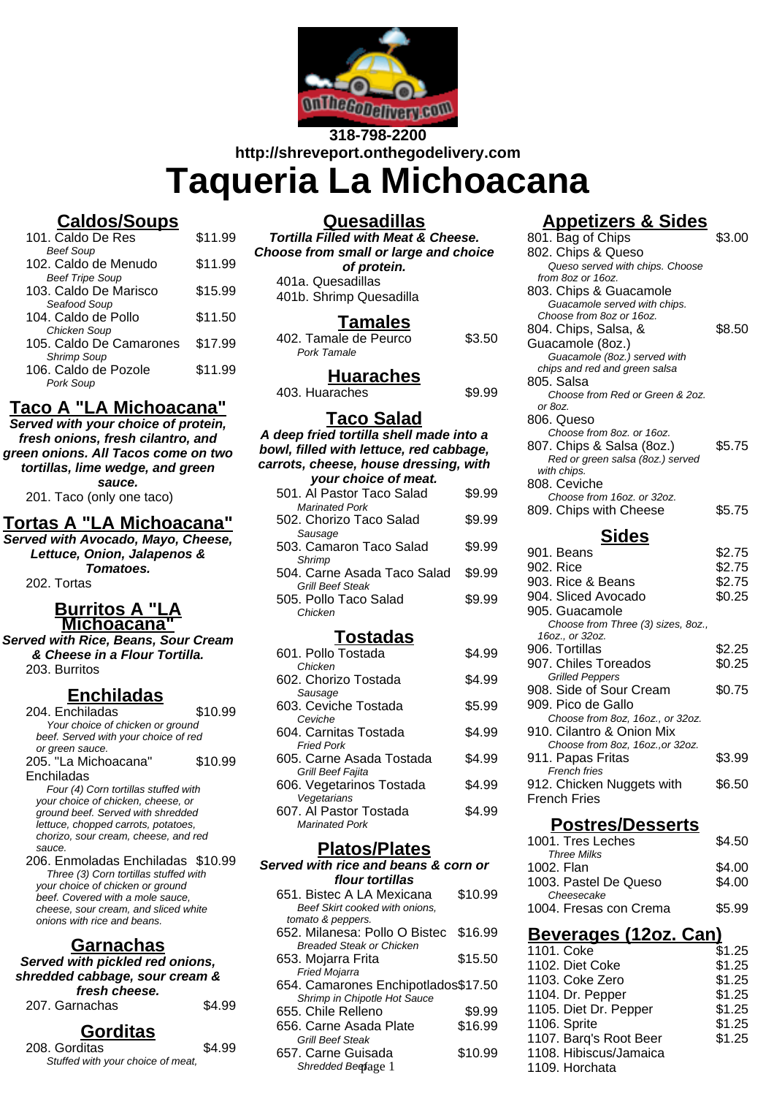

# **318-798-2200 http://shreveport.onthegodelivery.com Taqueria La Michoacana**

# **Caldos/Soups**

| 101. Caldo De Res       | \$11.99 |
|-------------------------|---------|
| <b>Beef Soup</b>        |         |
| 102. Caldo de Menudo    | \$11.99 |
| <b>Beef Tripe Soup</b>  |         |
| 103. Caldo De Marisco   | \$15.99 |
| Seafood Soup            |         |
| 104. Caldo de Pollo     | \$11.50 |
| Chicken Soup            |         |
| 105. Caldo De Camarones | \$17.99 |
| <b>Shrimp Soup</b>      |         |
| 106. Caldo de Pozole    | \$11.99 |
| Pork Soup               |         |
|                         |         |

# **Taco A "LA Michoacana"**

**Served with your choice of protein, fresh onions, fresh cilantro, and green onions. All Tacos come on two tortillas, lime wedge, and green sauce.**

201. Taco (only one taco)

#### **Tortas A "LA Michoacana"**

**Served with Avocado, Mayo, Cheese, Lettuce, Onion, Jalapenos & Tomatoes.** 202. Tortas

#### **Burritos A "LA Michoacana"**

**Served with Rice, Beans, Sour Cream & Cheese in a Flour Tortilla.** 203. Burritos

## **Enchiladas**

204. Enchiladas \$10.99 Your choice of chicken or ground beef. Served with your choice of red or green sauce. 205. "La Michoacana" Enchiladas \$10.99 Four (4) Corn tortillas stuffed with your choice of chicken, cheese, or ground beef. Served with shredded

lettuce, chopped carrots, potatoes, chorizo, sour cream, cheese, and red sauce. 206. Enmoladas Enchiladas \$10.99

Three (3) Corn tortillas stuffed with your choice of chicken or ground beef. Covered with a mole sauce, cheese, sour cream, and sliced white onions with rice and beans.

## **Garnachas**

**Served with pickled red onions, shredded cabbage, sour cream & fresh cheese.** 207. Garnachas \$4.99

# **Gorditas**

| 208. Gorditas                     | \$4.99 |
|-----------------------------------|--------|
| Stuffed with your choice of meat, |        |
|                                   |        |

| <b>Quesadillas</b>                             |
|------------------------------------------------|
| <b>Tortilla Filled with Meat &amp; Cheese.</b> |
| Choose from small or large and choice          |
| of protein.                                    |

401a. Quesadillas 401b. Shrimp Quesadilla

## **Tamales**

| .                     |        |
|-----------------------|--------|
| 402. Tamale de Peurco | \$3.50 |
| Pork Tamale           |        |

**Huaraches**

403. Huaraches **\$9.99** 

## **Taco Salad**

#### **A deep fried tortilla shell made into a bowl, filled with lettuce, red cabbage, carrots, cheese, house dressing, with your choice of meat.**

| your criotice or meath      |        |
|-----------------------------|--------|
| 501. Al Pastor Taco Salad   | \$9.99 |
| <b>Marinated Pork</b>       |        |
| 502. Chorizo Taco Salad     | \$9.99 |
| Sausage                     |        |
| 503. Camaron Taco Salad     | \$9.99 |
| Shrimp                      |        |
| 504. Carne Asada Taco Salad | \$9.99 |
| Grill Beef Steak            |        |
| 505. Pollo Taco Salad       | \$9.99 |
| Chicken                     |        |
|                             |        |

#### **Tostadas**

| 601. Pollo Tostada       | \$4.99 |
|--------------------------|--------|
| Chicken                  |        |
| 602. Chorizo Tostada     | \$4.99 |
| Sausage                  |        |
| 603. Ceviche Tostada     | \$5.99 |
| Ceviche                  |        |
| 604. Carnitas Tostada    | \$4.99 |
| <b>Fried Pork</b>        |        |
| 605. Carne Asada Tostada | \$4.99 |
| Grill Beef Fajita        |        |
| 606. Vegetarinos Tostada | \$4.99 |
| Vegetarians              |        |
| 607. Al Pastor Tostada   | \$4.99 |
| <b>Marinated Pork</b>    |        |

## **Platos/Plates**

| Served with rice and beans & corn or |         |
|--------------------------------------|---------|
| flour tortillas                      |         |
| 651. Bistec A LA Mexicana            | \$10.99 |
| Beef Skirt cooked with onions.       |         |
| tomato & peppers.                    |         |
| 652. Milanesa: Pollo O Bistec        | \$16.99 |
| <b>Breaded Steak or Chicken</b>      |         |
| 653. Mojarra Frita                   | \$15.50 |
| Fried Mojarra                        |         |
| 654. Camarones Enchipotlados\$17.50  |         |
| Shrimp in Chipotle Hot Sauce         |         |
| 655. Chile Relleno                   | \$9.99  |
| 656, Carne Asada Plate               | \$16.99 |
| <b>Grill Beef Steak</b>              |         |
| 657. Carne Guisada                   | \$10.99 |
| Shredded Beefage 1                   |         |
|                                      |         |

# **Appetizers & Sides**

| 801. Bag of Chips                                      | \$3.00 |
|--------------------------------------------------------|--------|
| 802. Chips & Queso                                     |        |
| Queso served with chips. Choose<br>from 8oz or 16oz.   |        |
| 803. Chips & Guacamole                                 |        |
| Guacamole served with chips.                           |        |
| Choose from 8oz or 16oz.                               |        |
| 804. Chips, Salsa, &                                   | \$8.50 |
| Guacamole (8oz.)<br>Guacamole (8oz.) served with       |        |
| chips and red and green salsa                          |        |
| 805. Salsa                                             |        |
| Choose from Red or Green & 2oz.                        |        |
| or 8oz.<br>806. Queso                                  |        |
| Choose from 8oz. or 16oz.                              |        |
| 807. Chips & Salsa (8oz.)                              | \$5.75 |
| Red or green salsa (8oz.) served                       |        |
| with chips.                                            |        |
| 808. Ceviche<br>Choose from 16oz. or 32oz.             |        |
| 809. Chips with Cheese                                 | \$5.75 |
|                                                        |        |
| <b>Sides</b>                                           |        |
| 901. Beans                                             | \$2.75 |
| 902. Rice                                              | \$2.75 |
| 903. Rice & Beans                                      | \$2.75 |
| 904. Sliced Avocado                                    | \$0.25 |
| 905. Guacamole<br>Choose from Three (3) sizes, 8oz.,   |        |
| 16oz., or 32oz.                                        |        |
| 906. Tortillas                                         | \$2.25 |
| 907. Chiles Toreados                                   | \$0.25 |
| <b>Grilled Peppers</b>                                 |        |
| 908. Side of Sour Cream                                | \$0.75 |
| 909. Pico de Gallo<br>Choose from 8oz, 16oz., or 32oz. |        |
| 910. Cilantro & Onion Mix                              |        |
| Choose from 8oz, 16oz., or 32oz.                       |        |
| 911. Papas Fritas                                      | \$3.99 |
| <b>French fries</b>                                    |        |
| 912. Chicken Nuggets with<br>French Fries              | \$6.50 |
|                                                        |        |
| <b>Postres/Desserts</b>                                |        |
| 1001. Tres Leches                                      | \$4.50 |
| <b>Three Milks</b>                                     |        |
| 1002. Flan                                             | \$4.00 |
| 1003. Pastel De Queso                                  | \$4.00 |
| Cheesecake<br>1004. Fresas con Crema                   | \$5.99 |
|                                                        |        |
| <u> Beverages (12oz. Can)</u>                          |        |
| 1101. Coke                                             | \$1.25 |
| 1102. Diet Coke                                        | \$1.25 |
| 1103. Coke Zero                                        | \$1.25 |
| 1104. Dr. Pepper                                       | \$1.25 |

1105. Diet Dr. Pepper \$1.25 1106. Sprite \$1.25 1107. Barq's Root Beer \$1.25

1108. Hibiscus/Jamaica

1109. Horchata